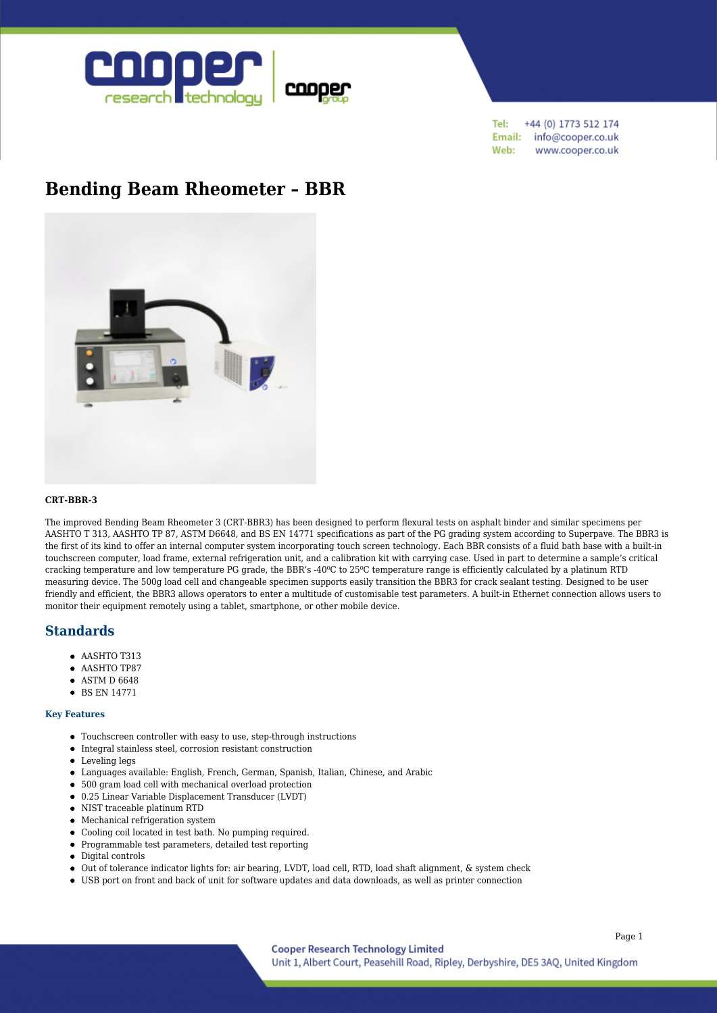

+44 (0) 1773 512 174 Tel: Email: info@cooper.co.uk Web: www.cooper.co.uk

# **[Bending Beam Rheometer – BBR](https://www.cooper.co.uk/shop/bitumen-testing/bitumen-and-bituminous-binder/bending-beam-rheometer-bbr/)**



### **CRT-BBR-3**

The improved Bending Beam Rheometer 3 (CRT-BBR3) has been designed to perform flexural tests on asphalt binder and similar specimens per AASHTO T 313, AASHTO TP 87, ASTM D6648, and BS EN 14771 specifications as part of the PG grading system according to Superpave. The BBR3 is the first of its kind to offer an internal computer system incorporating touch screen technology. Each BBR consists of a fluid bath base with a built-in touchscreen computer, load frame, external refrigeration unit, and a calibration kit with carrying case. Used in part to determine a sample's critical cracking temperature and low temperature PG grade, the BBR's -40°C to 25°C temperature range is efficiently calculated by a platinum RTD measuring device. The 500g load cell and changeable specimen supports easily transition the BBR3 for crack sealant testing. Designed to be user friendly and efficient, the BBR3 allows operators to enter a multitude of customisable test parameters. A built-in Ethernet connection allows users to monitor their equipment remotely using a tablet, smartphone, or other mobile device.

## **Standards**

- $\bullet$  AASHTO T313
- AASHTO TP87
- ASTM D 6648
- **BS EN 14771**

#### **Key Features**

- Touchscreen controller with easy to use, step-through instructions
- Integral stainless steel, corrosion resistant construction
- Leveling legs
- Languages available: English, French, German, Spanish, Italian, Chinese, and Arabic
- 500 gram load cell with mechanical overload protection
- 0.25 Linear Variable Displacement Transducer (LVDT)
- NIST traceable platinum RTD
- Mechanical refrigeration system
- Cooling coil located in test bath. No pumping required.
- Programmable test parameters, detailed test reporting
- Digital controls
- Out of tolerance indicator lights for: air bearing, LVDT, load cell, RTD, load shaft alignment, & system check
- USB port on front and back of unit for software updates and data downloads, as well as printer connection